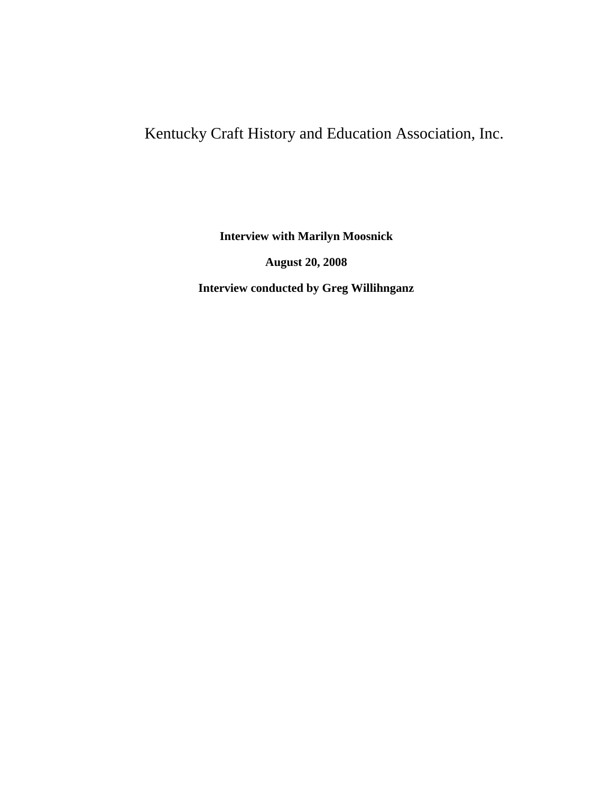## Kentucky Craft History and Education Association, Inc.

**Interview with Marilyn Moosnick**

**August 20, 2008**

**Interview conducted by Greg Willihnganz**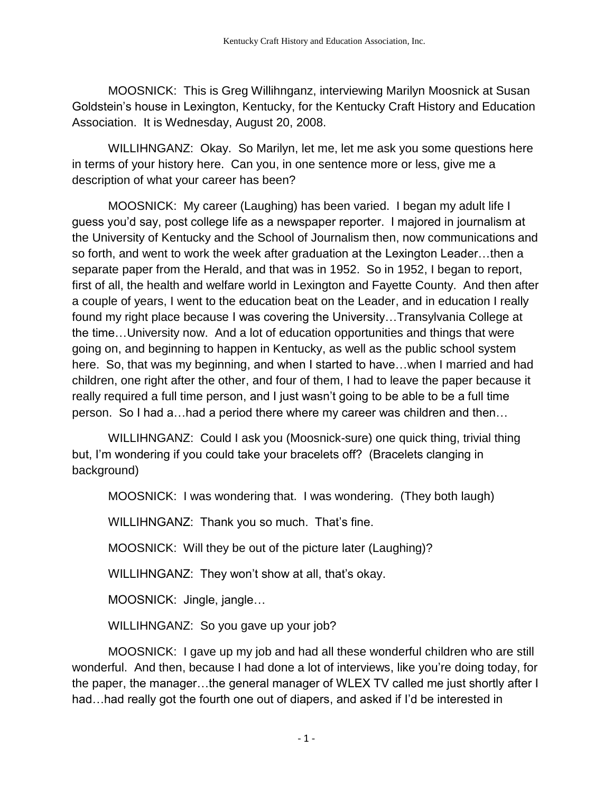MOOSNICK: This is Greg Willihnganz, interviewing Marilyn Moosnick at Susan Goldstein's house in Lexington, Kentucky, for the Kentucky Craft History and Education Association. It is Wednesday, August 20, 2008.

WILLIHNGANZ: Okay. So Marilyn, let me, let me ask you some questions here in terms of your history here. Can you, in one sentence more or less, give me a description of what your career has been?

MOOSNICK: My career (Laughing) has been varied. I began my adult life I guess you'd say, post college life as a newspaper reporter. I majored in journalism at the University of Kentucky and the School of Journalism then, now communications and so forth, and went to work the week after graduation at the Lexington Leader…then a separate paper from the Herald, and that was in 1952. So in 1952, I began to report, first of all, the health and welfare world in Lexington and Fayette County. And then after a couple of years, I went to the education beat on the Leader, and in education I really found my right place because I was covering the University…Transylvania College at the time…University now. And a lot of education opportunities and things that were going on, and beginning to happen in Kentucky, as well as the public school system here. So, that was my beginning, and when I started to have…when I married and had children, one right after the other, and four of them, I had to leave the paper because it really required a full time person, and I just wasn't going to be able to be a full time person. So I had a…had a period there where my career was children and then…

WILLIHNGANZ: Could I ask you (Moosnick-sure) one quick thing, trivial thing but, I'm wondering if you could take your bracelets off? (Bracelets clanging in background)

MOOSNICK: I was wondering that. I was wondering. (They both laugh)

WILLIHNGANZ: Thank you so much. That's fine.

MOOSNICK: Will they be out of the picture later (Laughing)?

WILLIHNGANZ: They won't show at all, that's okay.

MOOSNICK: Jingle, jangle…

WILLIHNGANZ: So you gave up your job?

MOOSNICK: I gave up my job and had all these wonderful children who are still wonderful. And then, because I had done a lot of interviews, like you're doing today, for the paper, the manager…the general manager of WLEX TV called me just shortly after I had…had really got the fourth one out of diapers, and asked if I'd be interested in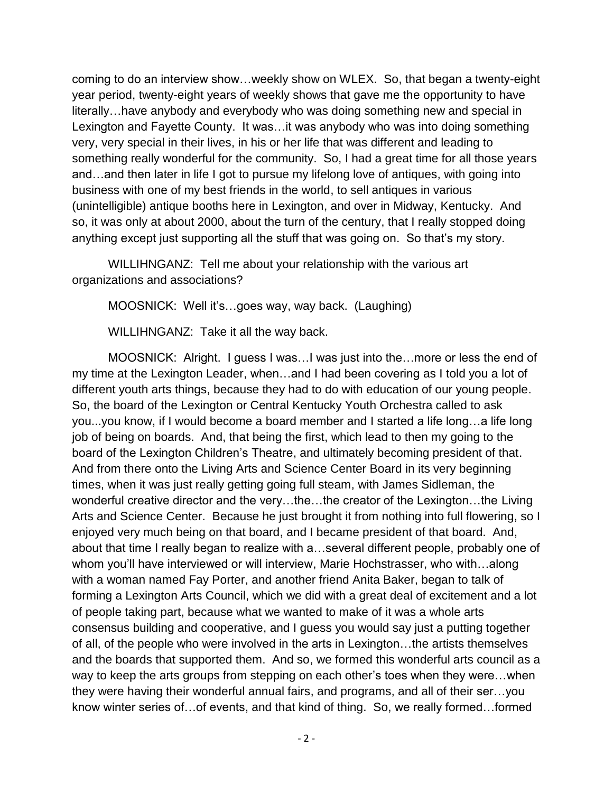coming to do an interview show…weekly show on WLEX. So, that began a twenty-eight year period, twenty-eight years of weekly shows that gave me the opportunity to have literally…have anybody and everybody who was doing something new and special in Lexington and Fayette County. It was…it was anybody who was into doing something very, very special in their lives, in his or her life that was different and leading to something really wonderful for the community. So, I had a great time for all those years and…and then later in life I got to pursue my lifelong love of antiques, with going into business with one of my best friends in the world, to sell antiques in various (unintelligible) antique booths here in Lexington, and over in Midway, Kentucky. And so, it was only at about 2000, about the turn of the century, that I really stopped doing anything except just supporting all the stuff that was going on. So that's my story.

WILLIHNGANZ: Tell me about your relationship with the various art organizations and associations?

MOOSNICK: Well it's…goes way, way back. (Laughing)

WILLIHNGANZ: Take it all the way back.

MOOSNICK: Alright. I guess I was…I was just into the…more or less the end of my time at the Lexington Leader, when…and I had been covering as I told you a lot of different youth arts things, because they had to do with education of our young people. So, the board of the Lexington or Central Kentucky Youth Orchestra called to ask you...you know, if I would become a board member and I started a life long…a life long job of being on boards. And, that being the first, which lead to then my going to the board of the Lexington Children's Theatre, and ultimately becoming president of that. And from there onto the Living Arts and Science Center Board in its very beginning times, when it was just really getting going full steam, with James Sidleman, the wonderful creative director and the very…the…the creator of the Lexington…the Living Arts and Science Center. Because he just brought it from nothing into full flowering, so I enjoyed very much being on that board, and I became president of that board. And, about that time I really began to realize with a…several different people, probably one of whom you'll have interviewed or will interview, Marie Hochstrasser, who with…along with a woman named Fay Porter, and another friend Anita Baker, began to talk of forming a Lexington Arts Council, which we did with a great deal of excitement and a lot of people taking part, because what we wanted to make of it was a whole arts consensus building and cooperative, and I guess you would say just a putting together of all, of the people who were involved in the arts in Lexington…the artists themselves and the boards that supported them. And so, we formed this wonderful arts council as a way to keep the arts groups from stepping on each other's toes when they were…when they were having their wonderful annual fairs, and programs, and all of their ser…you know winter series of…of events, and that kind of thing. So, we really formed…formed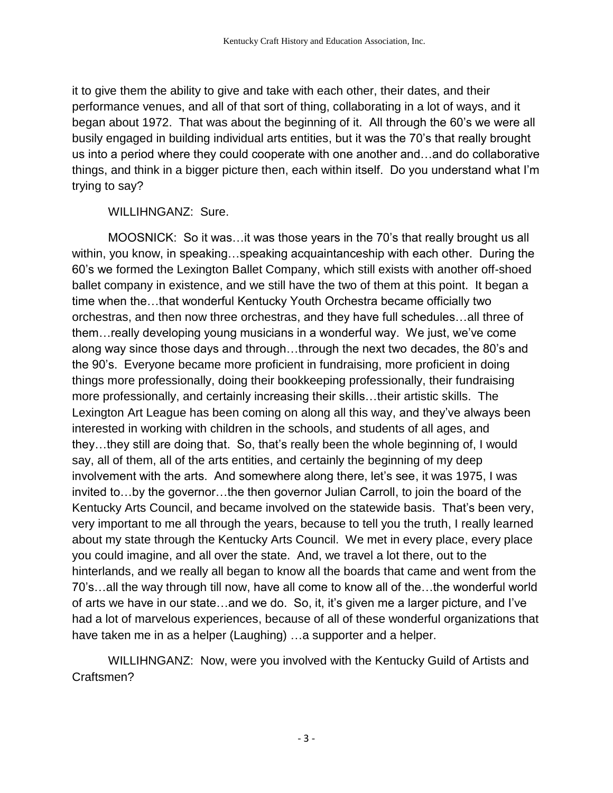it to give them the ability to give and take with each other, their dates, and their performance venues, and all of that sort of thing, collaborating in a lot of ways, and it began about 1972. That was about the beginning of it. All through the 60's we were all busily engaged in building individual arts entities, but it was the 70's that really brought us into a period where they could cooperate with one another and…and do collaborative things, and think in a bigger picture then, each within itself. Do you understand what I'm trying to say?

## WILLIHNGANZ: Sure.

MOOSNICK: So it was…it was those years in the 70's that really brought us all within, you know, in speaking…speaking acquaintanceship with each other. During the 60's we formed the Lexington Ballet Company, which still exists with another off-shoed ballet company in existence, and we still have the two of them at this point. It began a time when the…that wonderful Kentucky Youth Orchestra became officially two orchestras, and then now three orchestras, and they have full schedules…all three of them…really developing young musicians in a wonderful way. We just, we've come along way since those days and through…through the next two decades, the 80's and the 90's. Everyone became more proficient in fundraising, more proficient in doing things more professionally, doing their bookkeeping professionally, their fundraising more professionally, and certainly increasing their skills…their artistic skills. The Lexington Art League has been coming on along all this way, and they've always been interested in working with children in the schools, and students of all ages, and they…they still are doing that. So, that's really been the whole beginning of, I would say, all of them, all of the arts entities, and certainly the beginning of my deep involvement with the arts. And somewhere along there, let's see, it was 1975, I was invited to…by the governor…the then governor Julian Carroll, to join the board of the Kentucky Arts Council, and became involved on the statewide basis. That's been very, very important to me all through the years, because to tell you the truth, I really learned about my state through the Kentucky Arts Council. We met in every place, every place you could imagine, and all over the state. And, we travel a lot there, out to the hinterlands, and we really all began to know all the boards that came and went from the 70's…all the way through till now, have all come to know all of the…the wonderful world of arts we have in our state…and we do. So, it, it's given me a larger picture, and I've had a lot of marvelous experiences, because of all of these wonderful organizations that have taken me in as a helper (Laughing) …a supporter and a helper.

WILLIHNGANZ: Now, were you involved with the Kentucky Guild of Artists and Craftsmen?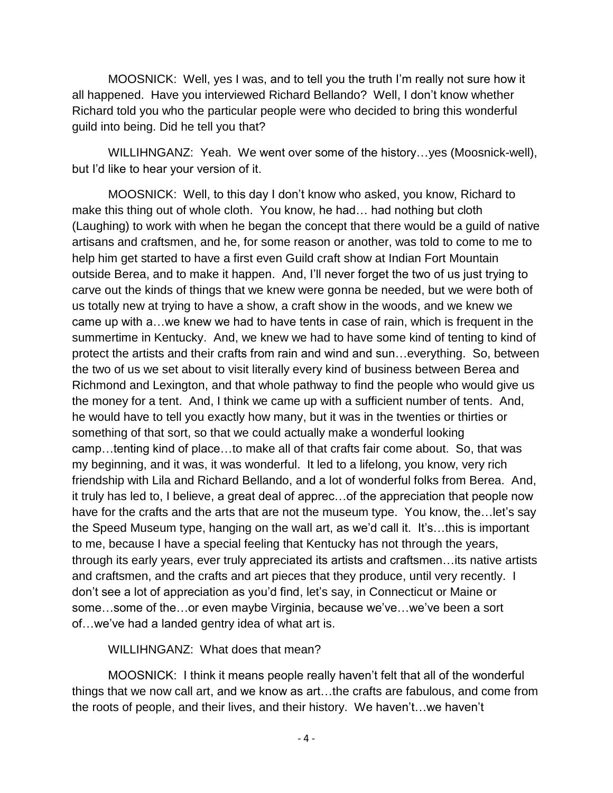MOOSNICK: Well, yes I was, and to tell you the truth I'm really not sure how it all happened. Have you interviewed Richard Bellando? Well, I don't know whether Richard told you who the particular people were who decided to bring this wonderful guild into being. Did he tell you that?

WILLIHNGANZ: Yeah. We went over some of the history…yes (Moosnick-well), but I'd like to hear your version of it.

MOOSNICK: Well, to this day I don't know who asked, you know, Richard to make this thing out of whole cloth. You know, he had… had nothing but cloth (Laughing) to work with when he began the concept that there would be a guild of native artisans and craftsmen, and he, for some reason or another, was told to come to me to help him get started to have a first even Guild craft show at Indian Fort Mountain outside Berea, and to make it happen. And, I'll never forget the two of us just trying to carve out the kinds of things that we knew were gonna be needed, but we were both of us totally new at trying to have a show, a craft show in the woods, and we knew we came up with a…we knew we had to have tents in case of rain, which is frequent in the summertime in Kentucky. And, we knew we had to have some kind of tenting to kind of protect the artists and their crafts from rain and wind and sun…everything. So, between the two of us we set about to visit literally every kind of business between Berea and Richmond and Lexington, and that whole pathway to find the people who would give us the money for a tent. And, I think we came up with a sufficient number of tents. And, he would have to tell you exactly how many, but it was in the twenties or thirties or something of that sort, so that we could actually make a wonderful looking camp…tenting kind of place…to make all of that crafts fair come about. So, that was my beginning, and it was, it was wonderful. It led to a lifelong, you know, very rich friendship with Lila and Richard Bellando, and a lot of wonderful folks from Berea. And, it truly has led to, I believe, a great deal of apprec…of the appreciation that people now have for the crafts and the arts that are not the museum type. You know, the... let's say the Speed Museum type, hanging on the wall art, as we'd call it. It's…this is important to me, because I have a special feeling that Kentucky has not through the years, through its early years, ever truly appreciated its artists and craftsmen…its native artists and craftsmen, and the crafts and art pieces that they produce, until very recently. I don't see a lot of appreciation as you'd find, let's say, in Connecticut or Maine or some…some of the…or even maybe Virginia, because we've…we've been a sort of…we've had a landed gentry idea of what art is.

WILLIHNGANZ: What does that mean?

MOOSNICK: I think it means people really haven't felt that all of the wonderful things that we now call art, and we know as art…the crafts are fabulous, and come from the roots of people, and their lives, and their history. We haven't…we haven't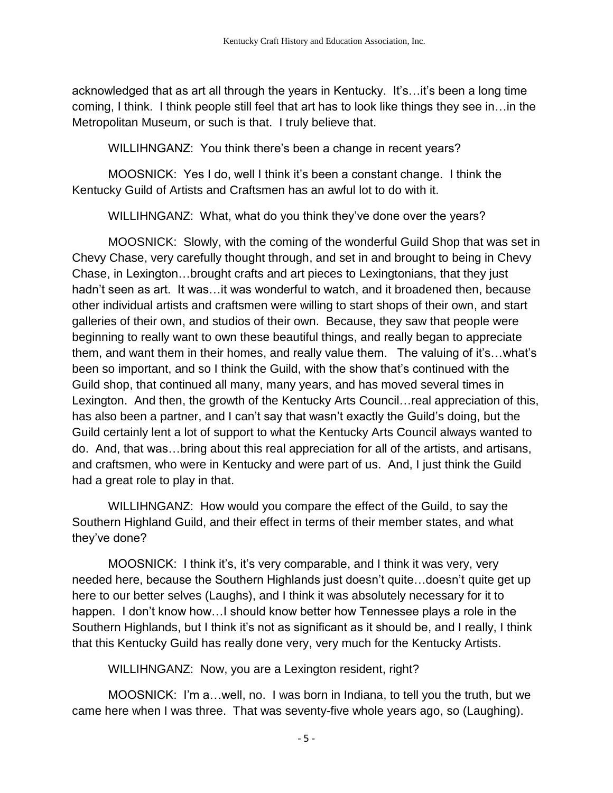acknowledged that as art all through the years in Kentucky. It's…it's been a long time coming, I think. I think people still feel that art has to look like things they see in…in the Metropolitan Museum, or such is that. I truly believe that.

WILLIHNGANZ: You think there's been a change in recent years?

MOOSNICK: Yes I do, well I think it's been a constant change. I think the Kentucky Guild of Artists and Craftsmen has an awful lot to do with it.

WILLIHNGANZ: What, what do you think they've done over the years?

MOOSNICK: Slowly, with the coming of the wonderful Guild Shop that was set in Chevy Chase, very carefully thought through, and set in and brought to being in Chevy Chase, in Lexington…brought crafts and art pieces to Lexingtonians, that they just hadn't seen as art. It was…it was wonderful to watch, and it broadened then, because other individual artists and craftsmen were willing to start shops of their own, and start galleries of their own, and studios of their own. Because, they saw that people were beginning to really want to own these beautiful things, and really began to appreciate them, and want them in their homes, and really value them. The valuing of it's…what's been so important, and so I think the Guild, with the show that's continued with the Guild shop, that continued all many, many years, and has moved several times in Lexington. And then, the growth of the Kentucky Arts Council…real appreciation of this, has also been a partner, and I can't say that wasn't exactly the Guild's doing, but the Guild certainly lent a lot of support to what the Kentucky Arts Council always wanted to do. And, that was…bring about this real appreciation for all of the artists, and artisans, and craftsmen, who were in Kentucky and were part of us. And, I just think the Guild had a great role to play in that.

WILLIHNGANZ: How would you compare the effect of the Guild, to say the Southern Highland Guild, and their effect in terms of their member states, and what they've done?

MOOSNICK: I think it's, it's very comparable, and I think it was very, very needed here, because the Southern Highlands just doesn't quite…doesn't quite get up here to our better selves (Laughs), and I think it was absolutely necessary for it to happen. I don't know how…I should know better how Tennessee plays a role in the Southern Highlands, but I think it's not as significant as it should be, and I really, I think that this Kentucky Guild has really done very, very much for the Kentucky Artists.

WILLIHNGANZ: Now, you are a Lexington resident, right?

MOOSNICK: I'm a…well, no. I was born in Indiana, to tell you the truth, but we came here when I was three. That was seventy-five whole years ago, so (Laughing).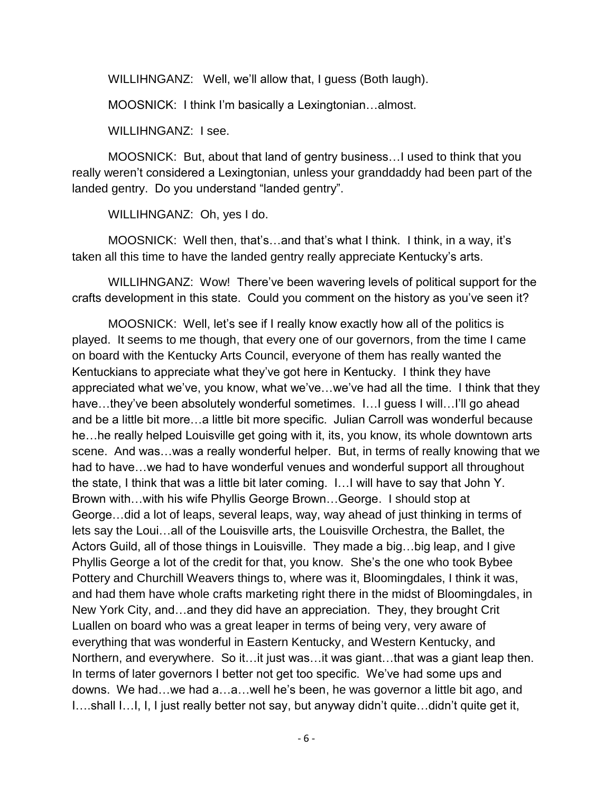WILLIHNGANZ: Well, we'll allow that, I guess (Both laugh).

MOOSNICK: I think I'm basically a Lexingtonian…almost.

WILLIHNGANZ: I see.

MOOSNICK: But, about that land of gentry business…I used to think that you really weren't considered a Lexingtonian, unless your granddaddy had been part of the landed gentry. Do you understand "landed gentry".

WILLIHNGANZ: Oh, yes I do.

MOOSNICK: Well then, that's…and that's what I think. I think, in a way, it's taken all this time to have the landed gentry really appreciate Kentucky's arts.

WILLIHNGANZ: Wow! There've been wavering levels of political support for the crafts development in this state. Could you comment on the history as you've seen it?

MOOSNICK: Well, let's see if I really know exactly how all of the politics is played. It seems to me though, that every one of our governors, from the time I came on board with the Kentucky Arts Council, everyone of them has really wanted the Kentuckians to appreciate what they've got here in Kentucky. I think they have appreciated what we've, you know, what we've…we've had all the time. I think that they have...they've been absolutely wonderful sometimes. I... quess I will...I'll go ahead and be a little bit more…a little bit more specific. Julian Carroll was wonderful because he…he really helped Louisville get going with it, its, you know, its whole downtown arts scene. And was…was a really wonderful helper. But, in terms of really knowing that we had to have…we had to have wonderful venues and wonderful support all throughout the state, I think that was a little bit later coming. I…I will have to say that John Y. Brown with…with his wife Phyllis George Brown…George. I should stop at George…did a lot of leaps, several leaps, way, way ahead of just thinking in terms of lets say the Loui…all of the Louisville arts, the Louisville Orchestra, the Ballet, the Actors Guild, all of those things in Louisville. They made a big…big leap, and I give Phyllis George a lot of the credit for that, you know. She's the one who took Bybee Pottery and Churchill Weavers things to, where was it, Bloomingdales, I think it was, and had them have whole crafts marketing right there in the midst of Bloomingdales, in New York City, and…and they did have an appreciation. They, they brought Crit Luallen on board who was a great leaper in terms of being very, very aware of everything that was wonderful in Eastern Kentucky, and Western Kentucky, and Northern, and everywhere. So it…it just was…it was giant…that was a giant leap then. In terms of later governors I better not get too specific. We've had some ups and downs. We had…we had a…a…well he's been, he was governor a little bit ago, and I….shall I…I, I, I just really better not say, but anyway didn't quite…didn't quite get it,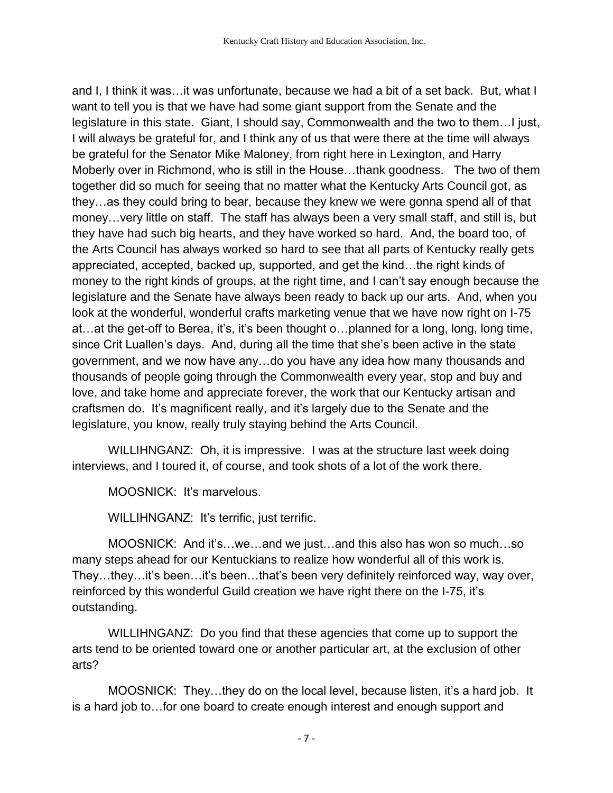and I, I think it was…it was unfortunate, because we had a bit of a set back. But, what I want to tell you is that we have had some giant support from the Senate and the legislature in this state. Giant, I should say, Commonwealth and the two to them…I just, I will always be grateful for, and I think any of us that were there at the time will always be grateful for the Senator Mike Maloney, from right here in Lexington, and Harry Moberly over in Richmond, who is still in the House…thank goodness. The two of them together did so much for seeing that no matter what the Kentucky Arts Council got, as they…as they could bring to bear, because they knew we were gonna spend all of that money…very little on staff. The staff has always been a very small staff, and still is, but they have had such big hearts, and they have worked so hard. And, the board too, of the Arts Council has always worked so hard to see that all parts of Kentucky really gets appreciated, accepted, backed up, supported, and get the kind…the right kinds of money to the right kinds of groups, at the right time, and I can't say enough because the legislature and the Senate have always been ready to back up our arts. And, when you look at the wonderful, wonderful crafts marketing venue that we have now right on I-75 at…at the get-off to Berea, it's, it's been thought o…planned for a long, long, long time, since Crit Luallen's days. And, during all the time that she's been active in the state government, and we now have any…do you have any idea how many thousands and thousands of people going through the Commonwealth every year, stop and buy and love, and take home and appreciate forever, the work that our Kentucky artisan and craftsmen do. It's magnificent really, and it's largely due to the Senate and the legislature, you know, really truly staying behind the Arts Council.

WILLIHNGANZ: Oh, it is impressive. I was at the structure last week doing interviews, and I toured it, of course, and took shots of a lot of the work there.

MOOSNICK: It's marvelous.

WILLIHNGANZ: It's terrific, just terrific.

MOOSNICK: And it's…we…and we just…and this also has won so much…so many steps ahead for our Kentuckians to realize how wonderful all of this work is. They…they…it's been…it's been…that's been very definitely reinforced way, way over, reinforced by this wonderful Guild creation we have right there on the I-75, it's outstanding.

WILLIHNGANZ: Do you find that these agencies that come up to support the arts tend to be oriented toward one or another particular art, at the exclusion of other arts?

MOOSNICK: They…they do on the local level, because listen, it's a hard job. It is a hard job to…for one board to create enough interest and enough support and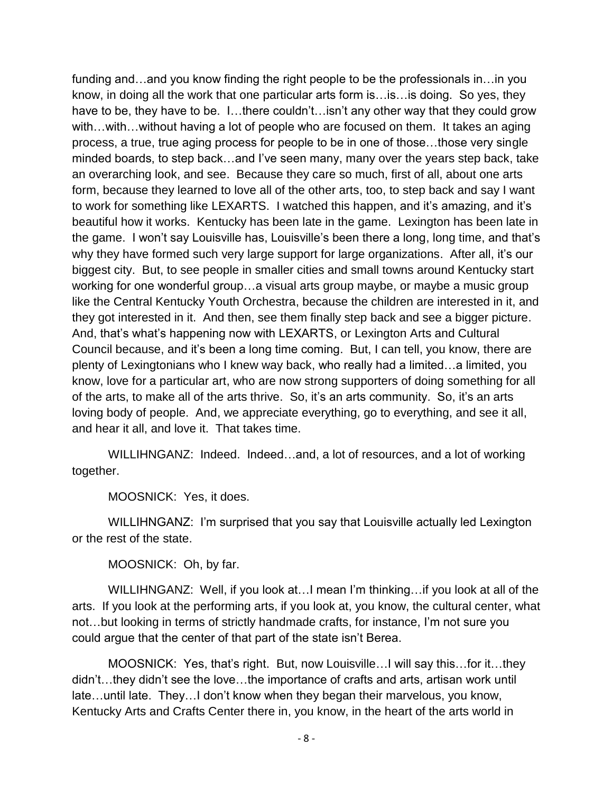funding and…and you know finding the right people to be the professionals in…in you know, in doing all the work that one particular arts form is…is…is doing. So yes, they have to be, they have to be. I...there couldn't...isn't any other way that they could grow with…with…without having a lot of people who are focused on them. It takes an aging process, a true, true aging process for people to be in one of those…those very single minded boards, to step back…and I've seen many, many over the years step back, take an overarching look, and see. Because they care so much, first of all, about one arts form, because they learned to love all of the other arts, too, to step back and say I want to work for something like LEXARTS. I watched this happen, and it's amazing, and it's beautiful how it works. Kentucky has been late in the game. Lexington has been late in the game. I won't say Louisville has, Louisville's been there a long, long time, and that's why they have formed such very large support for large organizations. After all, it's our biggest city. But, to see people in smaller cities and small towns around Kentucky start working for one wonderful group…a visual arts group maybe, or maybe a music group like the Central Kentucky Youth Orchestra, because the children are interested in it, and they got interested in it. And then, see them finally step back and see a bigger picture. And, that's what's happening now with LEXARTS, or Lexington Arts and Cultural Council because, and it's been a long time coming. But, I can tell, you know, there are plenty of Lexingtonians who I knew way back, who really had a limited…a limited, you know, love for a particular art, who are now strong supporters of doing something for all of the arts, to make all of the arts thrive. So, it's an arts community. So, it's an arts loving body of people. And, we appreciate everything, go to everything, and see it all, and hear it all, and love it. That takes time.

WILLIHNGANZ: Indeed. Indeed…and, a lot of resources, and a lot of working together.

MOOSNICK: Yes, it does.

WILLIHNGANZ: I'm surprised that you say that Louisville actually led Lexington or the rest of the state.

MOOSNICK: Oh, by far.

WILLIHNGANZ: Well, if you look at…I mean I'm thinking…if you look at all of the arts. If you look at the performing arts, if you look at, you know, the cultural center, what not…but looking in terms of strictly handmade crafts, for instance, I'm not sure you could argue that the center of that part of the state isn't Berea.

MOOSNICK: Yes, that's right. But, now Louisville…I will say this…for it…they didn't…they didn't see the love…the importance of crafts and arts, artisan work until late…until late. They…I don't know when they began their marvelous, you know, Kentucky Arts and Crafts Center there in, you know, in the heart of the arts world in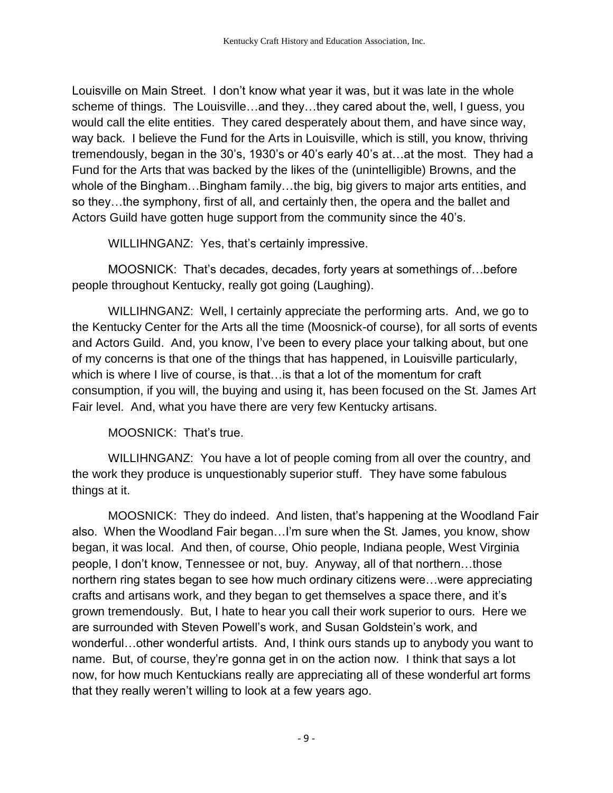Louisville on Main Street. I don't know what year it was, but it was late in the whole scheme of things. The Louisville…and they…they cared about the, well, I guess, you would call the elite entities. They cared desperately about them, and have since way, way back. I believe the Fund for the Arts in Louisville, which is still, you know, thriving tremendously, began in the 30's, 1930's or 40's early 40's at…at the most. They had a Fund for the Arts that was backed by the likes of the (unintelligible) Browns, and the whole of the Bingham…Bingham family…the big, big givers to major arts entities, and so they…the symphony, first of all, and certainly then, the opera and the ballet and Actors Guild have gotten huge support from the community since the 40's.

WILLIHNGANZ: Yes, that's certainly impressive.

MOOSNICK: That's decades, decades, forty years at somethings of…before people throughout Kentucky, really got going (Laughing).

WILLIHNGANZ: Well, I certainly appreciate the performing arts. And, we go to the Kentucky Center for the Arts all the time (Moosnick-of course), for all sorts of events and Actors Guild. And, you know, I've been to every place your talking about, but one of my concerns is that one of the things that has happened, in Louisville particularly, which is where I live of course, is that…is that a lot of the momentum for craft consumption, if you will, the buying and using it, has been focused on the St. James Art Fair level. And, what you have there are very few Kentucky artisans.

MOOSNICK: That's true.

WILLIHNGANZ: You have a lot of people coming from all over the country, and the work they produce is unquestionably superior stuff. They have some fabulous things at it.

MOOSNICK: They do indeed. And listen, that's happening at the Woodland Fair also. When the Woodland Fair began…I'm sure when the St. James, you know, show began, it was local. And then, of course, Ohio people, Indiana people, West Virginia people, I don't know, Tennessee or not, buy. Anyway, all of that northern…those northern ring states began to see how much ordinary citizens were…were appreciating crafts and artisans work, and they began to get themselves a space there, and it's grown tremendously. But, I hate to hear you call their work superior to ours. Here we are surrounded with Steven Powell's work, and Susan Goldstein's work, and wonderful…other wonderful artists. And, I think ours stands up to anybody you want to name. But, of course, they're gonna get in on the action now. I think that says a lot now, for how much Kentuckians really are appreciating all of these wonderful art forms that they really weren't willing to look at a few years ago.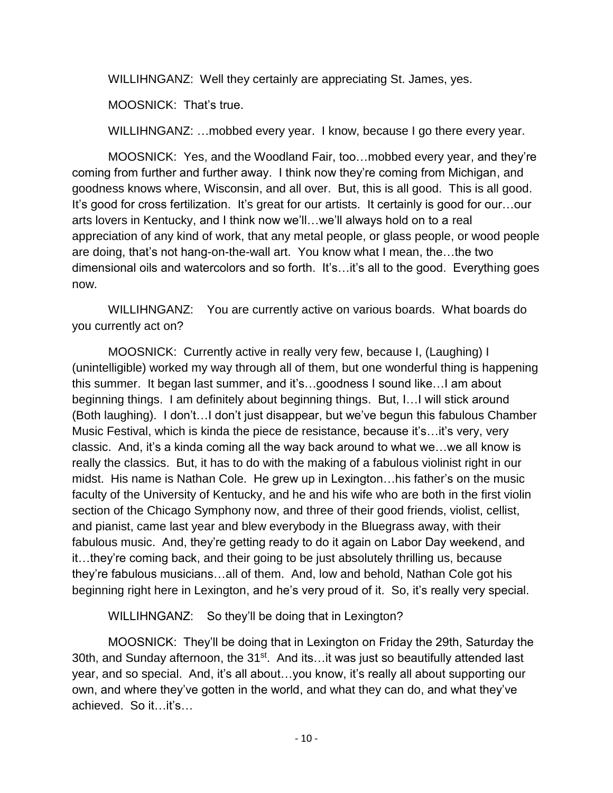WILLIHNGANZ: Well they certainly are appreciating St. James, yes.

MOOSNICK: That's true.

WILLIHNGANZ: …mobbed every year. I know, because I go there every year.

MOOSNICK: Yes, and the Woodland Fair, too…mobbed every year, and they're coming from further and further away. I think now they're coming from Michigan, and goodness knows where, Wisconsin, and all over. But, this is all good. This is all good. It's good for cross fertilization. It's great for our artists. It certainly is good for our... our arts lovers in Kentucky, and I think now we'll…we'll always hold on to a real appreciation of any kind of work, that any metal people, or glass people, or wood people are doing, that's not hang-on-the-wall art. You know what I mean, the…the two dimensional oils and watercolors and so forth. It's…it's all to the good. Everything goes now.

WILLIHNGANZ: You are currently active on various boards. What boards do you currently act on?

MOOSNICK: Currently active in really very few, because I, (Laughing) I (unintelligible) worked my way through all of them, but one wonderful thing is happening this summer. It began last summer, and it's…goodness I sound like…I am about beginning things. I am definitely about beginning things. But, I…I will stick around (Both laughing). I don't…I don't just disappear, but we've begun this fabulous Chamber Music Festival, which is kinda the piece de resistance, because it's…it's very, very classic. And, it's a kinda coming all the way back around to what we…we all know is really the classics. But, it has to do with the making of a fabulous violinist right in our midst. His name is Nathan Cole. He grew up in Lexington…his father's on the music faculty of the University of Kentucky, and he and his wife who are both in the first violin section of the Chicago Symphony now, and three of their good friends, violist, cellist, and pianist, came last year and blew everybody in the Bluegrass away, with their fabulous music. And, they're getting ready to do it again on Labor Day weekend, and it…they're coming back, and their going to be just absolutely thrilling us, because they're fabulous musicians…all of them. And, low and behold, Nathan Cole got his beginning right here in Lexington, and he's very proud of it. So, it's really very special.

WILLIHNGANZ: So they'll be doing that in Lexington?

MOOSNICK: They'll be doing that in Lexington on Friday the 29th, Saturday the 30th, and Sunday afternoon, the 31<sup>st</sup>. And its…it was just so beautifully attended last year, and so special. And, it's all about…you know, it's really all about supporting our own, and where they've gotten in the world, and what they can do, and what they've achieved. So it…it's…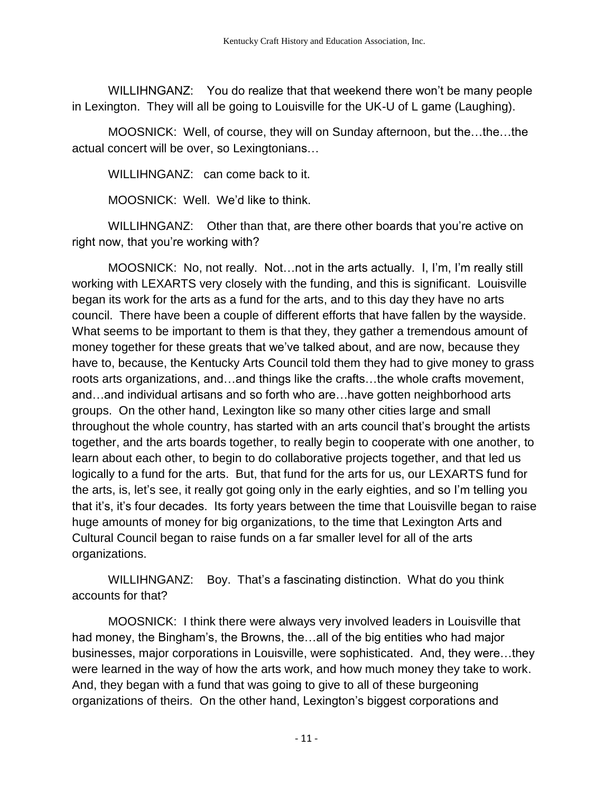WILLIHNGANZ: You do realize that that weekend there won't be many people in Lexington. They will all be going to Louisville for the UK-U of L game (Laughing).

MOOSNICK: Well, of course, they will on Sunday afternoon, but the…the…the actual concert will be over, so Lexingtonians…

WILLIHNGANZ: can come back to it.

MOOSNICK: Well. We'd like to think.

WILLIHNGANZ: Other than that, are there other boards that you're active on right now, that you're working with?

MOOSNICK: No, not really. Not…not in the arts actually. I, I'm, I'm really still working with LEXARTS very closely with the funding, and this is significant. Louisville began its work for the arts as a fund for the arts, and to this day they have no arts council. There have been a couple of different efforts that have fallen by the wayside. What seems to be important to them is that they, they gather a tremendous amount of money together for these greats that we've talked about, and are now, because they have to, because, the Kentucky Arts Council told them they had to give money to grass roots arts organizations, and…and things like the crafts…the whole crafts movement, and…and individual artisans and so forth who are…have gotten neighborhood arts groups. On the other hand, Lexington like so many other cities large and small throughout the whole country, has started with an arts council that's brought the artists together, and the arts boards together, to really begin to cooperate with one another, to learn about each other, to begin to do collaborative projects together, and that led us logically to a fund for the arts. But, that fund for the arts for us, our LEXARTS fund for the arts, is, let's see, it really got going only in the early eighties, and so I'm telling you that it's, it's four decades. Its forty years between the time that Louisville began to raise huge amounts of money for big organizations, to the time that Lexington Arts and Cultural Council began to raise funds on a far smaller level for all of the arts organizations.

WILLIHNGANZ: Boy. That's a fascinating distinction. What do you think accounts for that?

MOOSNICK: I think there were always very involved leaders in Louisville that had money, the Bingham's, the Browns, the…all of the big entities who had major businesses, major corporations in Louisville, were sophisticated. And, they were…they were learned in the way of how the arts work, and how much money they take to work. And, they began with a fund that was going to give to all of these burgeoning organizations of theirs. On the other hand, Lexington's biggest corporations and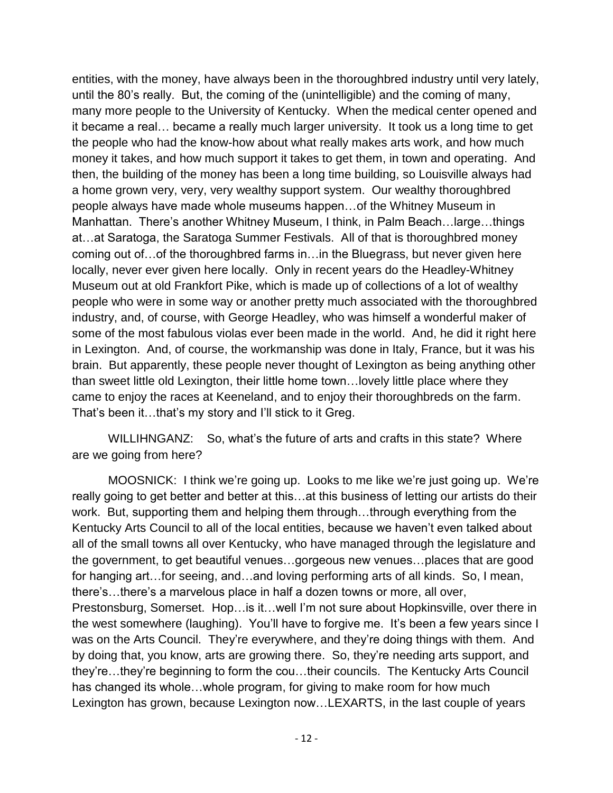entities, with the money, have always been in the thoroughbred industry until very lately, until the 80's really. But, the coming of the (unintelligible) and the coming of many, many more people to the University of Kentucky. When the medical center opened and it became a real… became a really much larger university. It took us a long time to get the people who had the know-how about what really makes arts work, and how much money it takes, and how much support it takes to get them, in town and operating. And then, the building of the money has been a long time building, so Louisville always had a home grown very, very, very wealthy support system. Our wealthy thoroughbred people always have made whole museums happen…of the Whitney Museum in Manhattan. There's another Whitney Museum, I think, in Palm Beach…large…things at…at Saratoga, the Saratoga Summer Festivals. All of that is thoroughbred money coming out of…of the thoroughbred farms in…in the Bluegrass, but never given here locally, never ever given here locally. Only in recent years do the Headley-Whitney Museum out at old Frankfort Pike, which is made up of collections of a lot of wealthy people who were in some way or another pretty much associated with the thoroughbred industry, and, of course, with George Headley, who was himself a wonderful maker of some of the most fabulous violas ever been made in the world. And, he did it right here in Lexington. And, of course, the workmanship was done in Italy, France, but it was his brain. But apparently, these people never thought of Lexington as being anything other than sweet little old Lexington, their little home town…lovely little place where they came to enjoy the races at Keeneland, and to enjoy their thoroughbreds on the farm. That's been it…that's my story and I'll stick to it Greg.

WILLIHNGANZ: So, what's the future of arts and crafts in this state? Where are we going from here?

MOOSNICK: I think we're going up. Looks to me like we're just going up. We're really going to get better and better at this…at this business of letting our artists do their work. But, supporting them and helping them through…through everything from the Kentucky Arts Council to all of the local entities, because we haven't even talked about all of the small towns all over Kentucky, who have managed through the legislature and the government, to get beautiful venues…gorgeous new venues…places that are good for hanging art…for seeing, and…and loving performing arts of all kinds. So, I mean, there's…there's a marvelous place in half a dozen towns or more, all over, Prestonsburg, Somerset. Hop…is it…well I'm not sure about Hopkinsville, over there in the west somewhere (laughing). You'll have to forgive me. It's been a few years since I was on the Arts Council. They're everywhere, and they're doing things with them. And by doing that, you know, arts are growing there. So, they're needing arts support, and they're…they're beginning to form the cou…their councils. The Kentucky Arts Council has changed its whole…whole program, for giving to make room for how much Lexington has grown, because Lexington now…LEXARTS, in the last couple of years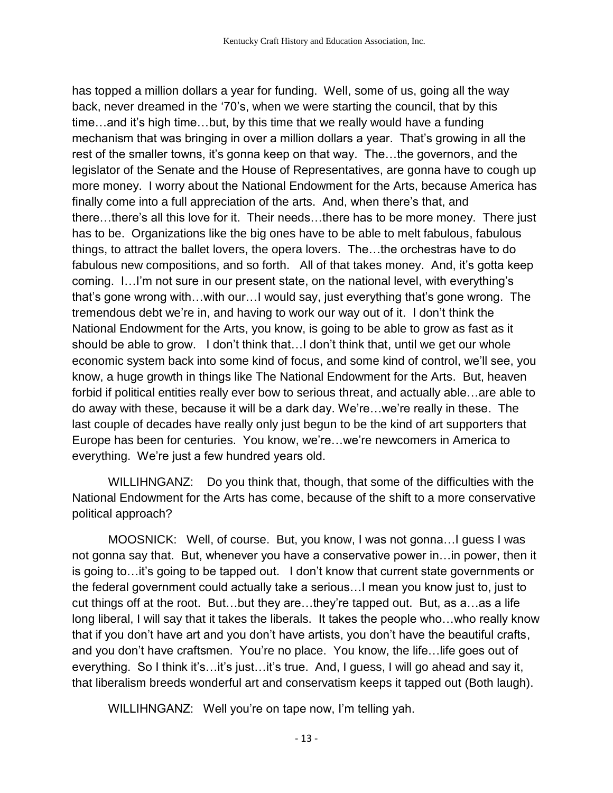has topped a million dollars a year for funding. Well, some of us, going all the way back, never dreamed in the '70's, when we were starting the council, that by this time…and it's high time…but, by this time that we really would have a funding mechanism that was bringing in over a million dollars a year. That's growing in all the rest of the smaller towns, it's gonna keep on that way. The…the governors, and the legislator of the Senate and the House of Representatives, are gonna have to cough up more money. I worry about the National Endowment for the Arts, because America has finally come into a full appreciation of the arts. And, when there's that, and there…there's all this love for it. Their needs…there has to be more money. There just has to be. Organizations like the big ones have to be able to melt fabulous, fabulous things, to attract the ballet lovers, the opera lovers. The…the orchestras have to do fabulous new compositions, and so forth. All of that takes money. And, it's gotta keep coming. I…I'm not sure in our present state, on the national level, with everything's that's gone wrong with…with our…I would say, just everything that's gone wrong. The tremendous debt we're in, and having to work our way out of it. I don't think the National Endowment for the Arts, you know, is going to be able to grow as fast as it should be able to grow. I don't think that…I don't think that, until we get our whole economic system back into some kind of focus, and some kind of control, we'll see, you know, a huge growth in things like The National Endowment for the Arts. But, heaven forbid if political entities really ever bow to serious threat, and actually able…are able to do away with these, because it will be a dark day. We're…we're really in these. The last couple of decades have really only just begun to be the kind of art supporters that Europe has been for centuries. You know, we're…we're newcomers in America to everything. We're just a few hundred years old.

WILLIHNGANZ: Do you think that, though, that some of the difficulties with the National Endowment for the Arts has come, because of the shift to a more conservative political approach?

MOOSNICK: Well, of course. But, you know, I was not gonna…I guess I was not gonna say that. But, whenever you have a conservative power in…in power, then it is going to…it's going to be tapped out. I don't know that current state governments or the federal government could actually take a serious…I mean you know just to, just to cut things off at the root. But…but they are…they're tapped out. But, as a…as a life long liberal, I will say that it takes the liberals. It takes the people who…who really know that if you don't have art and you don't have artists, you don't have the beautiful crafts, and you don't have craftsmen. You're no place. You know, the life…life goes out of everything. So I think it's…it's just…it's true. And, I guess, I will go ahead and say it, that liberalism breeds wonderful art and conservatism keeps it tapped out (Both laugh).

WILLIHNGANZ: Well you're on tape now, I'm telling yah.